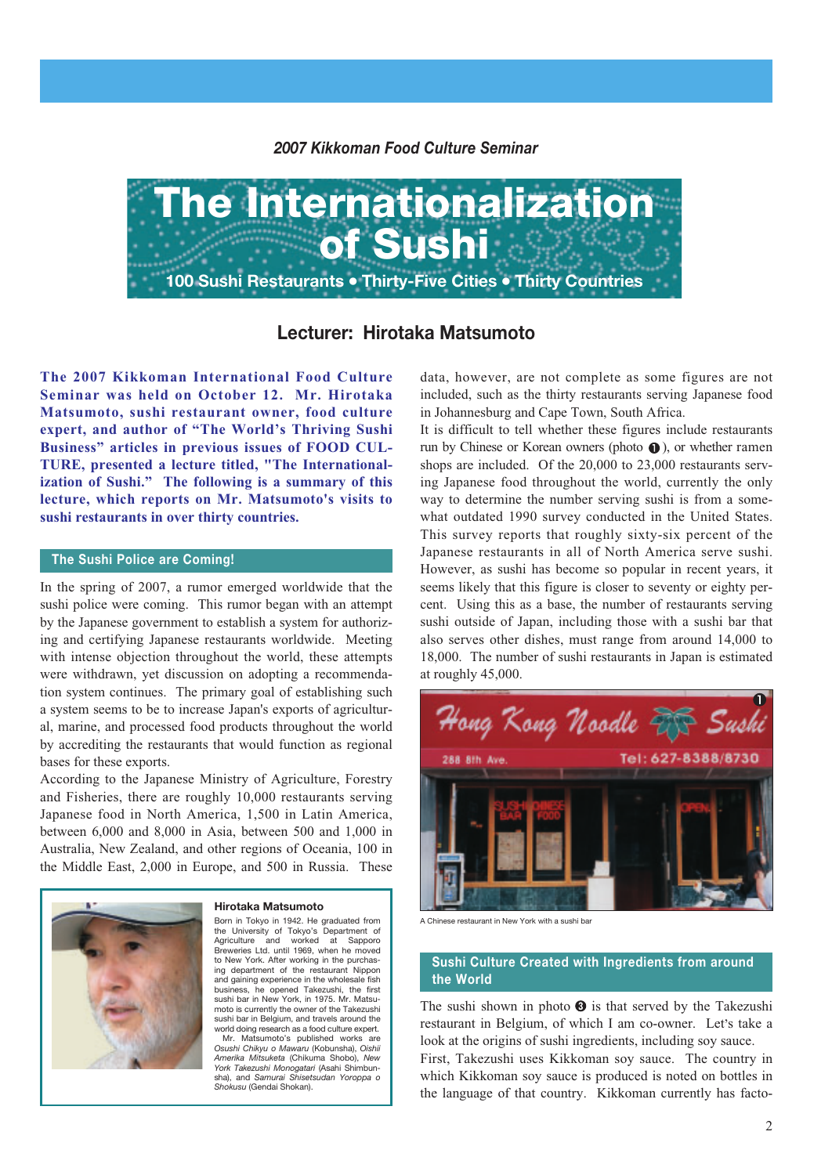*2007 Kikkoman Food Culture Seminar*



**Lecturer: Hirotaka Matsumoto**

**The 2007 Kikkoman International Food Culture Seminar was held on October 12. Mr. Hirotaka Matsumoto, sushi restaurant owner, food culture expert, and author of "The World's Thriving Sushi Business" articles in previous issues of FOOD CUL-TURE, presented a lecture titled, "The Internationalization of Sushi." The following is a summary of this lecture, which reports on Mr. Matsumoto's visits to sushi restaurants in over thirty countries.**

#### **The Sushi Police are Coming!**

In the spring of 2007, a rumor emerged worldwide that the sushi police were coming. This rumor began with an attempt by the Japanese government to establish a system for authorizing and certifying Japanese restaurants worldwide. Meeting with intense objection throughout the world, these attempts were withdrawn, yet discussion on adopting a recommendation system continues. The primary goal of establishing such a system seems to be to increase Japan's exports of agricultural, marine, and processed food products throughout the world by accrediting the restaurants that would function as regional bases for these exports.

According to the Japanese Ministry of Agriculture, Forestry and Fisheries, there are roughly 10,000 restaurants serving Japanese food in North America, 1,500 in Latin America, between 6,000 and 8,000 in Asia, between 500 and 1,000 in Australia, New Zealand, and other regions of Oceania, 100 in the Middle East, 2,000 in Europe, and 500 in Russia. These

#### **Hirotaka Matsumoto**



Born in Tokyo in 1942. He graduated from the University of Tokyo's Department of Agriculture and worked at Sapporo Breweries Ltd. until 1969, when he moved to New York. After working in the purchasing department of the restaurant Nippon and gaining experience in the wholesale fish business, he opened Takezushi, the first sushi bar in New York, in 1975. Mr. Matsumoto is currently the owner of the Takezushi sushi bar in Belgium, and travels around the world doing research as a food culture expert.

Mr. Matsumoto's published works are *Osushi Chikyu o Mawaru* (Kobunsha), *Oishii Amerika Mitsuketa* (Chikuma Shobo), *New York Takezushi Monogatari* (Asahi Shimbun-sha), and *Samurai Shisetsudan Yoroppa o Shokusu* (Gendai Shokan).

data, however, are not complete as some figures are not included, such as the thirty restaurants serving Japanese food in Johannesburg and Cape Town, South Africa.

It is difficult to tell whether these figures include restaurants run by Chinese or Korean owners (photo  $\bullet$ ), or whether ramen shops are included. Of the 20,000 to 23,000 restaurants serving Japanese food throughout the world, currently the only way to determine the number serving sushi is from a somewhat outdated 1990 survey conducted in the United States. This survey reports that roughly sixty-six percent of the Japanese restaurants in all of North America serve sushi. However, as sushi has become so popular in recent years, it seems likely that this figure is closer to seventy or eighty percent. Using this as a base, the number of restaurants serving sushi outside of Japan, including those with a sushi bar that also serves other dishes, must range from around 14,000 to 18,000. The number of sushi restaurants in Japan is estimated at roughly 45,000.



A Chinese restaurant in New York with a sushi bar

## **Sushi Culture Created with Ingredients from around the World**

The sushi shown in photo  $\Theta$  is that served by the Takezushi restaurant in Belgium, of which I am co-owner. Let's take a look at the origins of sushi ingredients, including soy sauce.

First, Takezushi uses Kikkoman soy sauce. The country in which Kikkoman soy sauce is produced is noted on bottles in the language of that country. Kikkoman currently has facto-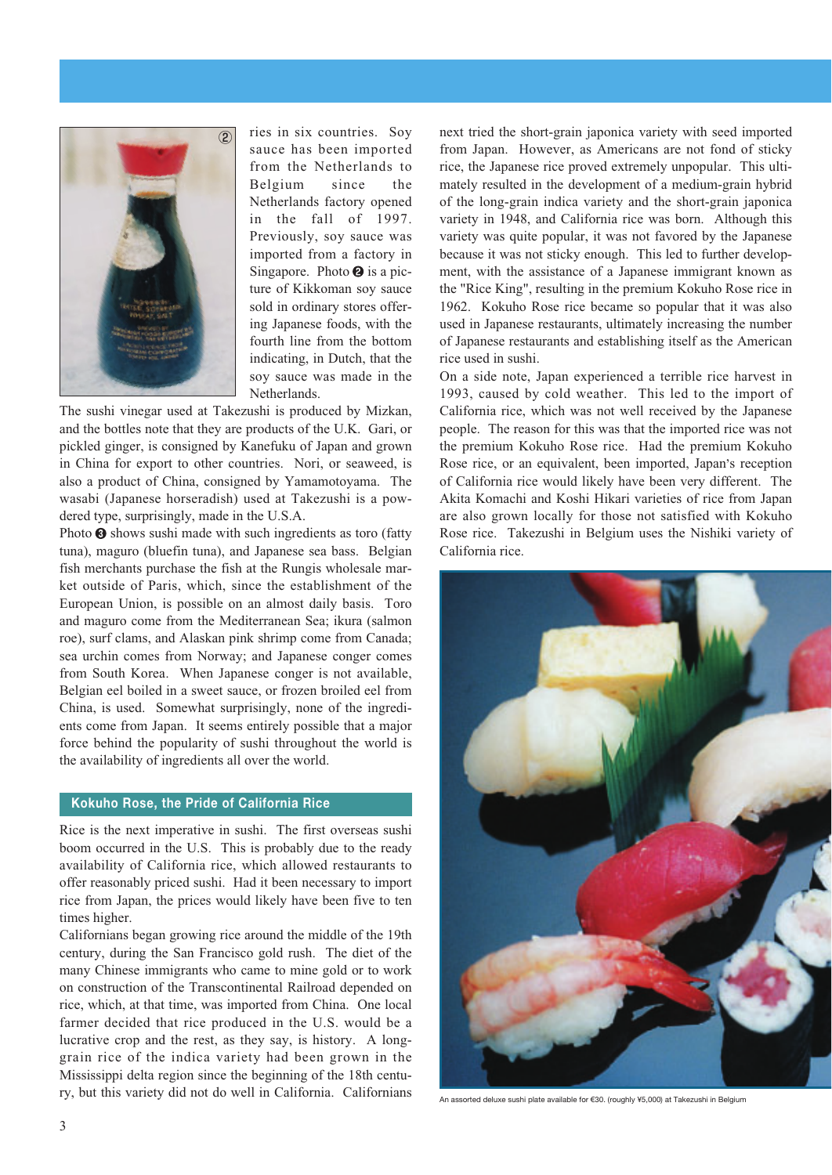

ries in six countries. Soy sauce has been imported from the Netherlands to Belgium since the Netherlands factory opened in the fall of 1997. Previously, soy sauce was imported from a factory in Singapore. Photo  $\Theta$  is a picture of Kikkoman soy sauce sold in ordinary stores offering Japanese foods, with the fourth line from the bottom indicating, in Dutch, that the soy sauce was made in the Netherlands.

The sushi vinegar used at Takezushi is produced by Mizkan, and the bottles note that they are products of the U.K. Gari, or pickled ginger, is consigned by Kanefuku of Japan and grown in China for export to other countries. Nori, or seaweed, is also a product of China, consigned by Yamamotoyama. The wasabi (Japanese horseradish) used at Takezushi is a powdered type, surprisingly, made in the U.S.A.

Photo  $\Theta$  shows sushi made with such ingredients as toro (fatty tuna), maguro (bluefin tuna), and Japanese sea bass. Belgian fish merchants purchase the fish at the Rungis wholesale market outside of Paris, which, since the establishment of the European Union, is possible on an almost daily basis. Toro and maguro come from the Mediterranean Sea; ikura (salmon roe), surf clams, and Alaskan pink shrimp come from Canada; sea urchin comes from Norway; and Japanese conger comes from South Korea. When Japanese conger is not available, Belgian eel boiled in a sweet sauce, or frozen broiled eel from China, is used. Somewhat surprisingly, none of the ingredients come from Japan. It seems entirely possible that a major force behind the popularity of sushi throughout the world is the availability of ingredients all over the world.

## **Kokuho Rose, the Pride of California Rice**

Rice is the next imperative in sushi. The first overseas sushi boom occurred in the U.S. This is probably due to the ready availability of California rice, which allowed restaurants to offer reasonably priced sushi. Had it been necessary to import rice from Japan, the prices would likely have been five to ten times higher.

Californians began growing rice around the middle of the 19th century, during the San Francisco gold rush. The diet of the many Chinese immigrants who came to mine gold or to work on construction of the Transcontinental Railroad depended on rice, which, at that time, was imported from China. One local farmer decided that rice produced in the U.S. would be a lucrative crop and the rest, as they say, is history. A longgrain rice of the indica variety had been grown in the Mississippi delta region since the beginning of the 18th century, but this variety did not do well in California. Californians

next tried the short-grain japonica variety with seed imported from Japan. However, as Americans are not fond of sticky rice, the Japanese rice proved extremely unpopular. This ultimately resulted in the development of a medium-grain hybrid of the long-grain indica variety and the short-grain japonica variety in 1948, and California rice was born. Although this variety was quite popular, it was not favored by the Japanese because it was not sticky enough. This led to further development, with the assistance of a Japanese immigrant known as the "Rice King", resulting in the premium Kokuho Rose rice in 1962. Kokuho Rose rice became so popular that it was also used in Japanese restaurants, ultimately increasing the number of Japanese restaurants and establishing itself as the American rice used in sushi.

On a side note, Japan experienced a terrible rice harvest in 1993, caused by cold weather. This led to the import of California rice, which was not well received by the Japanese people. The reason for this was that the imported rice was not the premium Kokuho Rose rice. Had the premium Kokuho Rose rice, or an equivalent, been imported, Japan's reception of California rice would likely have been very different. The Akita Komachi and Koshi Hikari varieties of rice from Japan are also grown locally for those not satisfied with Kokuho Rose rice. Takezushi in Belgium uses the Nishiki variety of California rice.



An assorted deluxe sushi plate available for €30. (roughly ¥5,000) at Takezushi in Belgium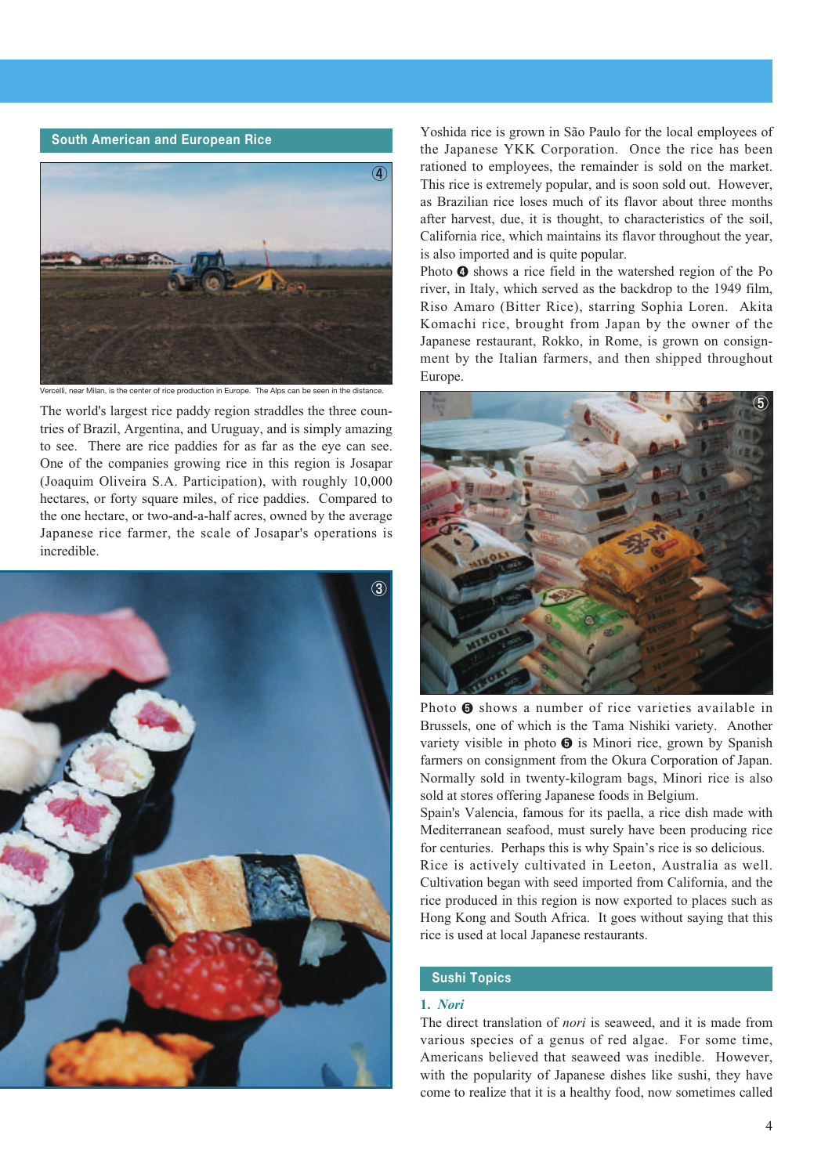

celli, near Milan, is the center of rice production in Europe. The Alps can be seen in the distance

The world's largest rice paddy region straddles the three countries of Brazil, Argentina, and Uruguay, and is simply amazing to see. There are rice paddies for as far as the eye can see. One of the companies growing rice in this region is Josapar (Joaquim Oliveira S.A. Participation), with roughly 10,000 hectares, or forty square miles, of rice paddies. Compared to the one hectare, or two-and-a-half acres, owned by the average Japanese rice farmer, the scale of Josapar's operations is incredible.



**South American and European Rice** Yoshida rice is grown in São Paulo for the local employees of the Japanese YKK Corporation. Once the rice has been rationed to employees, the remainder is sold on the market. This rice is extremely popular, and is soon sold out. However, as Brazilian rice loses much of its flavor about three months after harvest, due, it is thought, to characteristics of the soil, California rice, which maintains its flavor throughout the year, is also imported and is quite popular.

> Photo  $\bullet$  shows a rice field in the watershed region of the Po river, in Italy, which served as the backdrop to the 1949 film, Riso Amaro (Bitter Rice), starring Sophia Loren. Akita Komachi rice, brought from Japan by the owner of the Japanese restaurant, Rokko, in Rome, is grown on consignment by the Italian farmers, and then shipped throughout Europe.



Photo  $\Theta$  shows a number of rice varieties available in Brussels, one of which is the Tama Nishiki variety. Another variety visible in photo  $\Theta$  is Minori rice, grown by Spanish farmers on consignment from the Okura Corporation of Japan. Normally sold in twenty-kilogram bags, Minori rice is also sold at stores offering Japanese foods in Belgium.

Spain's Valencia, famous for its paella, a rice dish made with Mediterranean seafood, must surely have been producing rice for centuries. Perhaps this is why Spain's rice is so delicious.

Rice is actively cultivated in Leeton, Australia as well. Cultivation began with seed imported from California, and the rice produced in this region is now exported to places such as Hong Kong and South Africa. It goes without saying that this rice is used at local Japanese restaurants.

# **Sushi Topics**

## **1.** *Nori*

The direct translation of *nori* is seaweed, and it is made from various species of a genus of red algae. For some time, Americans believed that seaweed was inedible. However, with the popularity of Japanese dishes like sushi, they have come to realize that it is a healthy food, now sometimes called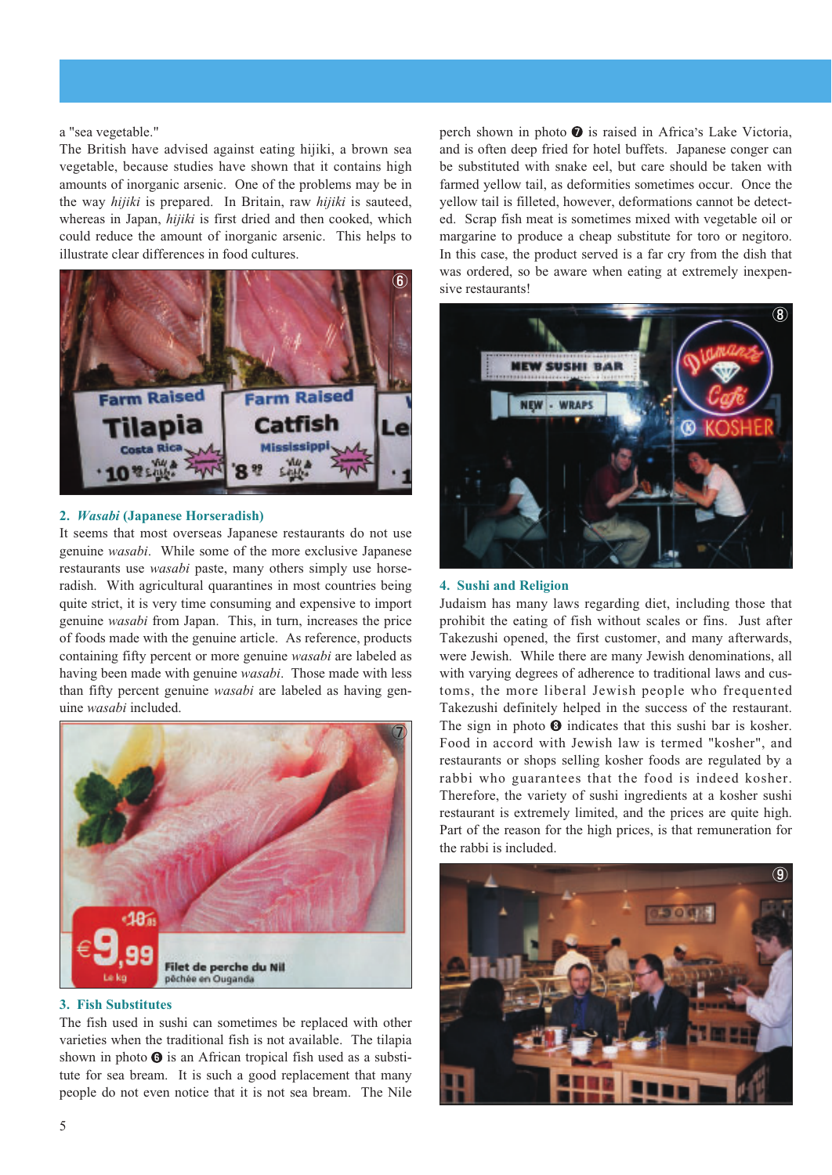#### a "sea vegetable."

The British have advised against eating hijiki, a brown sea vegetable, because studies have shown that it contains high amounts of inorganic arsenic. One of the problems may be in the way *hijiki* is prepared. In Britain, raw *hijiki* is sauteed, whereas in Japan, *hijiki* is first dried and then cooked, which could reduce the amount of inorganic arsenic. This helps to illustrate clear differences in food cultures.



## **2.** *Wasabi* **(Japanese Horseradish)**

It seems that most overseas Japanese restaurants do not use genuine *wasabi*. While some of the more exclusive Japanese restaurants use *wasabi* paste, many others simply use horseradish. With agricultural quarantines in most countries being quite strict, it is very time consuming and expensive to import genuine *wasabi* from Japan. This, in turn, increases the price of foods made with the genuine article. As reference, products containing fifty percent or more genuine *wasabi* are labeled as having been made with genuine *wasabi*. Those made with less than fifty percent genuine *wasabi* are labeled as having genuine *wasabi* included.



### **3. Fish Substitutes**

The fish used in sushi can sometimes be replaced with other varieties when the traditional fish is not available. The tilapia shown in photo  $\Theta$  is an African tropical fish used as a substitute for sea bream. It is such a good replacement that many people do not even notice that it is not sea bream. The Nile

perch shown in photo  $\bullet$  is raised in Africa's Lake Victoria, and is often deep fried for hotel buffets. Japanese conger can be substituted with snake eel, but care should be taken with farmed yellow tail, as deformities sometimes occur. Once the yellow tail is filleted, however, deformations cannot be detected. Scrap fish meat is sometimes mixed with vegetable oil or margarine to produce a cheap substitute for toro or negitoro. In this case, the product served is a far cry from the dish that was ordered, so be aware when eating at extremely inexpensive restaurants!



#### **4. Sushi and Religion**

Judaism has many laws regarding diet, including those that prohibit the eating of fish without scales or fins. Just after Takezushi opened, the first customer, and many afterwards, were Jewish. While there are many Jewish denominations, all with varying degrees of adherence to traditional laws and customs, the more liberal Jewish people who frequented Takezushi definitely helped in the success of the restaurant. The sign in photo  $\Theta$  indicates that this sushi bar is kosher. Food in accord with Jewish law is termed "kosher", and restaurants or shops selling kosher foods are regulated by a rabbi who guarantees that the food is indeed kosher. Therefore, the variety of sushi ingredients at a kosher sushi restaurant is extremely limited, and the prices are quite high. Part of the reason for the high prices, is that remuneration for the rabbi is included.